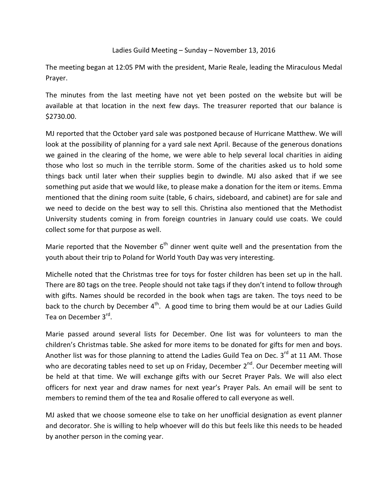## Ladies Guild Meeting – Sunday – November 13, 2016

The meeting began at 12:05 PM with the president, Marie Reale, leading the Miraculous Medal Prayer.

The minutes from the last meeting have not yet been posted on the website but will be available at that location in the next few days. The treasurer reported that our balance is \$2730.00.

MJ reported that the October yard sale was postponed because of Hurricane Matthew. We will look at the possibility of planning for a yard sale next April. Because of the generous donations we gained in the clearing of the home, we were able to help several local charities in aiding those who lost so much in the terrible storm. Some of the charities asked us to hold some things back until later when their supplies begin to dwindle. MJ also asked that if we see something put aside that we would like, to please make a donation for the item or items. Emma mentioned that the dining room suite (table, 6 chairs, sideboard, and cabinet) are for sale and we need to decide on the best way to sell this. Christina also mentioned that the Methodist University students coming in from foreign countries in January could use coats. We could collect some for that purpose as well.

Marie reported that the November  $6<sup>th</sup>$  dinner went quite well and the presentation from the youth about their trip to Poland for World Youth Day was very interesting.

Michelle noted that the Christmas tree for toys for foster children has been set up in the hall. There are 80 tags on the tree. People should not take tags if they don't intend to follow through with gifts. Names should be recorded in the book when tags are taken. The toys need to be back to the church by December  $4<sup>th</sup>$ . A good time to bring them would be at our Ladies Guild Tea on December 3rd.

Marie passed around several lists for December. One list was for volunteers to man the children's Christmas table. She asked for more items to be donated for gifts for men and boys. Another list was for those planning to attend the Ladies Guild Tea on Dec.  $3^{rd}$  at 11 AM. Those who are decorating tables need to set up on Friday, December  $2^{nd}$ . Our December meeting will be held at that time. We will exchange gifts with our Secret Prayer Pals. We will also elect officers for next year and draw names for next year's Prayer Pals. An email will be sent to members to remind them of the tea and Rosalie offered to call everyone as well.

MJ asked that we choose someone else to take on her unofficial designation as event planner and decorator. She is willing to help whoever will do this but feels like this needs to be headed by another person in the coming year.